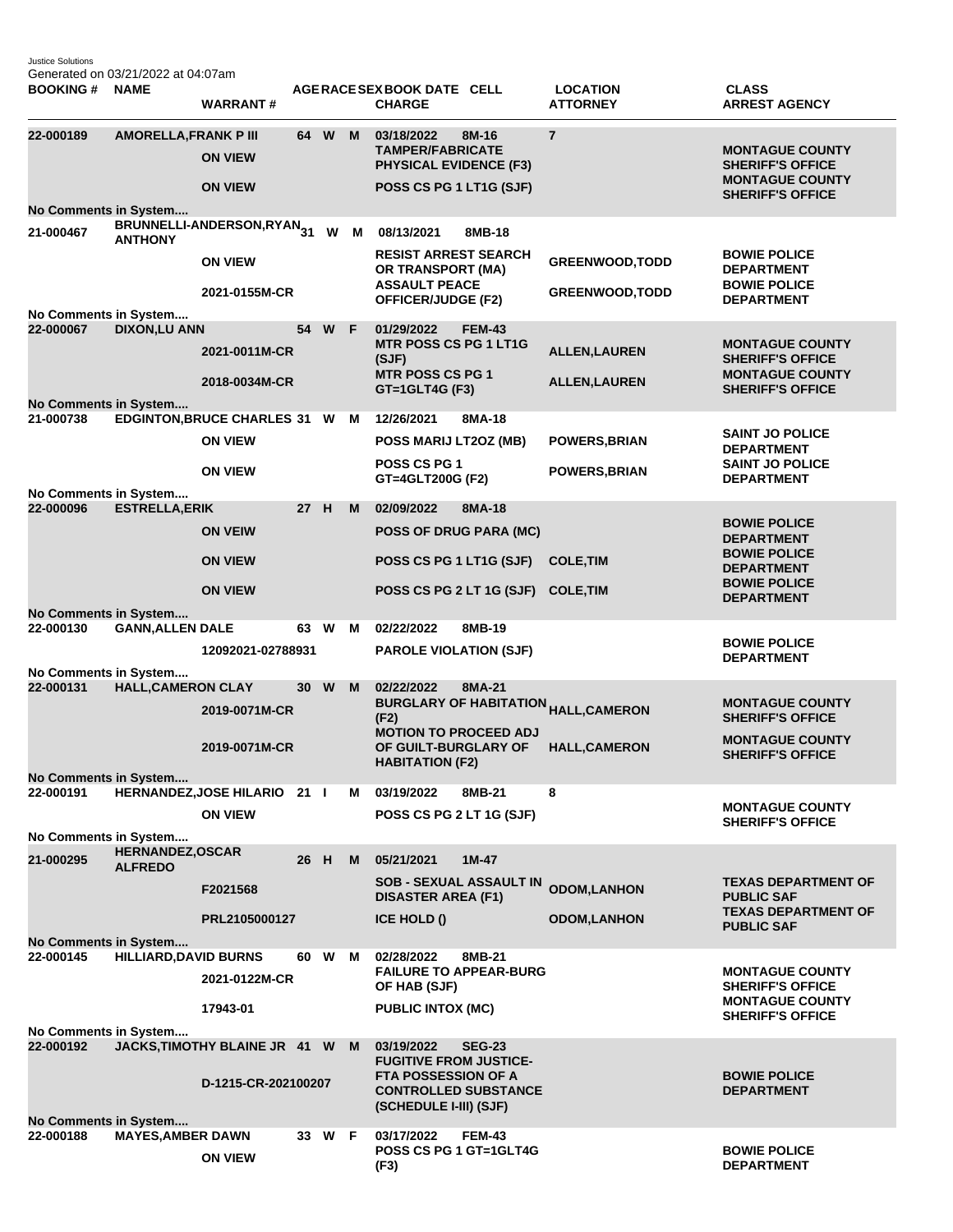Justice Solutions Generated on 03/21/2022 at 04:07am

| <b>BOOKING#</b>                           | <b>NAME</b>                              | <b>WARRANT#</b>                       |                 |        |   | AGERACE SEX BOOK DATE CELL<br><b>CHARGE</b>                                                |               | <b>LOCATION</b><br><b>ATTORNEY</b>                | <b>CLASS</b><br><b>ARREST AGENCY</b>                                        |
|-------------------------------------------|------------------------------------------|---------------------------------------|-----------------|--------|---|--------------------------------------------------------------------------------------------|---------------|---------------------------------------------------|-----------------------------------------------------------------------------|
| 22-000189                                 | <b>AMORELLA, FRANK P III</b>             | <b>ON VIEW</b>                        |                 | 64 W   | M | 03/18/2022<br><b>TAMPER/FABRICATE</b><br><b>PHYSICAL EVIDENCE (F3)</b>                     | 8M-16         | $\overline{7}$                                    | <b>MONTAGUE COUNTY</b><br><b>SHERIFF'S OFFICE</b>                           |
|                                           |                                          | <b>ON VIEW</b>                        |                 |        |   | POSS CS PG 1 LT1G (SJF)                                                                    |               |                                                   | <b>MONTAGUE COUNTY</b><br><b>SHERIFF'S OFFICE</b>                           |
| <b>No Comments in System</b><br>21-000467 | <b>ANTHONY</b>                           | BRUNNELLI-ANDERSON,RYAN <sub>31</sub> |                 | W      | M | 08/13/2021                                                                                 | 8MB-18        |                                                   |                                                                             |
|                                           |                                          | <b>ON VIEW</b>                        |                 |        |   | <b>RESIST ARREST SEARCH</b><br>OR TRANSPORT (MA)                                           |               | <b>GREENWOOD, TODD</b>                            | <b>BOWIE POLICE</b><br><b>DEPARTMENT</b>                                    |
|                                           |                                          | 2021-0155M-CR                         |                 |        |   | <b>ASSAULT PEACE</b><br><b>OFFICER/JUDGE (F2)</b>                                          |               | <b>GREENWOOD, TODD</b>                            | <b>BOWIE POLICE</b><br><b>DEPARTMENT</b>                                    |
| No Comments in System<br>22-000067        | <b>DIXON,LU ANN</b>                      |                                       | 54              | W      | F | 01/29/2022                                                                                 | <b>FEM-43</b> |                                                   |                                                                             |
|                                           |                                          | 2021-0011M-CR                         |                 |        |   | <b>MTR POSS CS PG 1 LT1G</b><br>(SJF)<br><b>MTR POSS CS PG 1</b>                           |               | <b>ALLEN, LAUREN</b>                              | <b>MONTAGUE COUNTY</b><br><b>SHERIFF'S OFFICE</b><br><b>MONTAGUE COUNTY</b> |
|                                           | No Comments in System                    | 2018-0034M-CR                         |                 |        |   | GT=1GLT4G (F3)                                                                             |               | <b>ALLEN, LAUREN</b>                              | <b>SHERIFF'S OFFICE</b>                                                     |
| 21-000738                                 |                                          | <b>EDGINTON, BRUCE CHARLES 31 W</b>   |                 |        | м | 12/26/2021                                                                                 | 8MA-18        |                                                   |                                                                             |
|                                           |                                          | <b>ON VIEW</b>                        |                 |        |   | POSS MARIJ LT2OZ (MB)                                                                      |               | <b>POWERS, BRIAN</b>                              | <b>SAINT JO POLICE</b><br><b>DEPARTMENT</b>                                 |
| No Comments in System                     |                                          | <b>ON VIEW</b>                        |                 |        |   | POSS CS PG 1<br>GT=4GLT200G (F2)                                                           |               | <b>POWERS, BRIAN</b>                              | <b>SAINT JO POLICE</b><br><b>DEPARTMENT</b>                                 |
| 22-000096                                 | <b>ESTRELLA, ERIK</b>                    |                                       | 27 H            |        | M | 02/09/2022                                                                                 | 8MA-18        |                                                   |                                                                             |
|                                           |                                          | <b>ON VEIW</b>                        |                 |        |   | <b>POSS OF DRUG PARA (MC)</b>                                                              |               |                                                   | <b>BOWIE POLICE</b><br><b>DEPARTMENT</b>                                    |
|                                           |                                          | <b>ON VIEW</b>                        |                 |        |   | POSS CS PG 1 LT1G (SJF)                                                                    |               | <b>COLE, TIM</b>                                  | <b>BOWIE POLICE</b><br><b>DEPARTMENT</b>                                    |
| <b>No Comments in System</b>              |                                          | <b>ON VIEW</b>                        |                 |        |   | POSS CS PG 2 LT 1G (SJF)                                                                   |               | <b>COLE, TIM</b>                                  | <b>BOWIE POLICE</b><br><b>DEPARTMENT</b>                                    |
| 22-000130                                 | <b>GANN, ALLEN DALE</b>                  |                                       |                 | 63 W   | м | 02/22/2022                                                                                 | 8MB-19        |                                                   |                                                                             |
|                                           |                                          | 12092021-02788931                     |                 |        |   | <b>PAROLE VIOLATION (SJF)</b>                                                              |               |                                                   | <b>BOWIE POLICE</b><br><b>DEPARTMENT</b>                                    |
| No Comments in System<br>22-000131        | <b>HALL, CAMERON CLAY</b>                |                                       | 30 <sup>°</sup> | W      | M | 02/22/2022                                                                                 | 8MA-21        |                                                   |                                                                             |
|                                           |                                          | 2019-0071M-CR                         |                 |        |   | (F2)                                                                                       |               | BURGLARY OF HABITATION <sub>HALL,</sub> CAMERON   | <b>MONTAGUE COUNTY</b><br><b>SHERIFF'S OFFICE</b>                           |
|                                           |                                          | 2019-0071M-CR                         |                 |        |   | <b>MOTION TO PROCEED ADJ</b><br>OF GUILT-BURGLARY OF                                       |               | <b>HALL, CAMERON</b>                              | <b>MONTAGUE COUNTY</b>                                                      |
|                                           |                                          |                                       |                 |        |   | <b>HABITATION (F2)</b>                                                                     |               |                                                   | <b>SHERIFF'S OFFICE</b>                                                     |
| <b>No Comments in System</b><br>22-000191 |                                          | HERNANDEZ, JOSE HILARIO 21            |                 |        | м | 03/19/2022                                                                                 | 8MB-21        | 8                                                 |                                                                             |
|                                           |                                          | <b>ON VIEW</b>                        |                 |        |   | POSS CS PG 2 LT 1G (SJF)                                                                   |               |                                                   | <b>MONTAGUE COUNTY</b><br><b>SHERIFF'S OFFICE</b>                           |
| No Comments in System                     |                                          |                                       |                 |        |   |                                                                                            |               |                                                   |                                                                             |
| 21-000295                                 | <b>HERNANDEZ,OSCAR</b><br><b>ALFREDO</b> |                                       | 26 H            |        | M | 05/21/2021                                                                                 | $1M-47$       |                                                   |                                                                             |
|                                           |                                          | F2021568                              |                 |        |   | <b>SOB - SEXUAL ASSAULT IN</b><br><b>DISASTER AREA (F1)</b>                                |               | <b>ODOM,LANHON</b>                                | <b>TEXAS DEPARTMENT OF</b><br><b>PUBLIC SAF</b>                             |
| No Comments in System                     |                                          | PRL2105000127                         |                 |        |   | <b>ICE HOLD ()</b>                                                                         |               | <b>ODOM,LANHON</b>                                | <b>TEXAS DEPARTMENT OF</b><br><b>PUBLIC SAF</b>                             |
| 22-000145                                 | <b>HILLIARD, DAVID BURNS</b>             |                                       |                 | 60 W   | м | 02/28/2022                                                                                 | 8MB-21        |                                                   |                                                                             |
|                                           |                                          | 2021-0122M-CR                         |                 |        |   | <b>FAILURE TO APPEAR-BURG</b><br>OF HAB (SJF)                                              |               | <b>MONTAGUE COUNTY</b><br><b>SHERIFF'S OFFICE</b> |                                                                             |
|                                           |                                          | 17943-01                              |                 |        |   | <b>PUBLIC INTOX (MC)</b>                                                                   |               |                                                   | <b>MONTAGUE COUNTY</b><br><b>SHERIFF'S OFFICE</b>                           |
| No Comments in System<br>22-000192        |                                          | JACKS, TIMOTHY BLAINE JR 41 W         |                 |        | M | 03/19/2022                                                                                 | <b>SEG-23</b> |                                                   |                                                                             |
|                                           |                                          | D-1215-CR-202100207                   |                 |        |   | <b>FUGITIVE FROM JUSTICE-</b><br><b>FTA POSSESSION OF A</b><br><b>CONTROLLED SUBSTANCE</b> |               |                                                   | <b>BOWIE POLICE</b><br><b>DEPARTMENT</b>                                    |
|                                           |                                          |                                       |                 |        |   | (SCHEDULE I-III) (SJF)                                                                     |               |                                                   |                                                                             |
| No Comments in System                     |                                          |                                       |                 |        |   |                                                                                            |               |                                                   |                                                                             |
| 22-000188                                 | <b>MAYES, AMBER DAWN</b>                 | <b>ON VIEW</b>                        |                 | 33 W F |   | 03/17/2022<br>POSS CS PG 1 GT=1GLT4G<br>(F3)                                               | <b>FEM-43</b> |                                                   | <b>BOWIE POLICE</b><br><b>DEPARTMENT</b>                                    |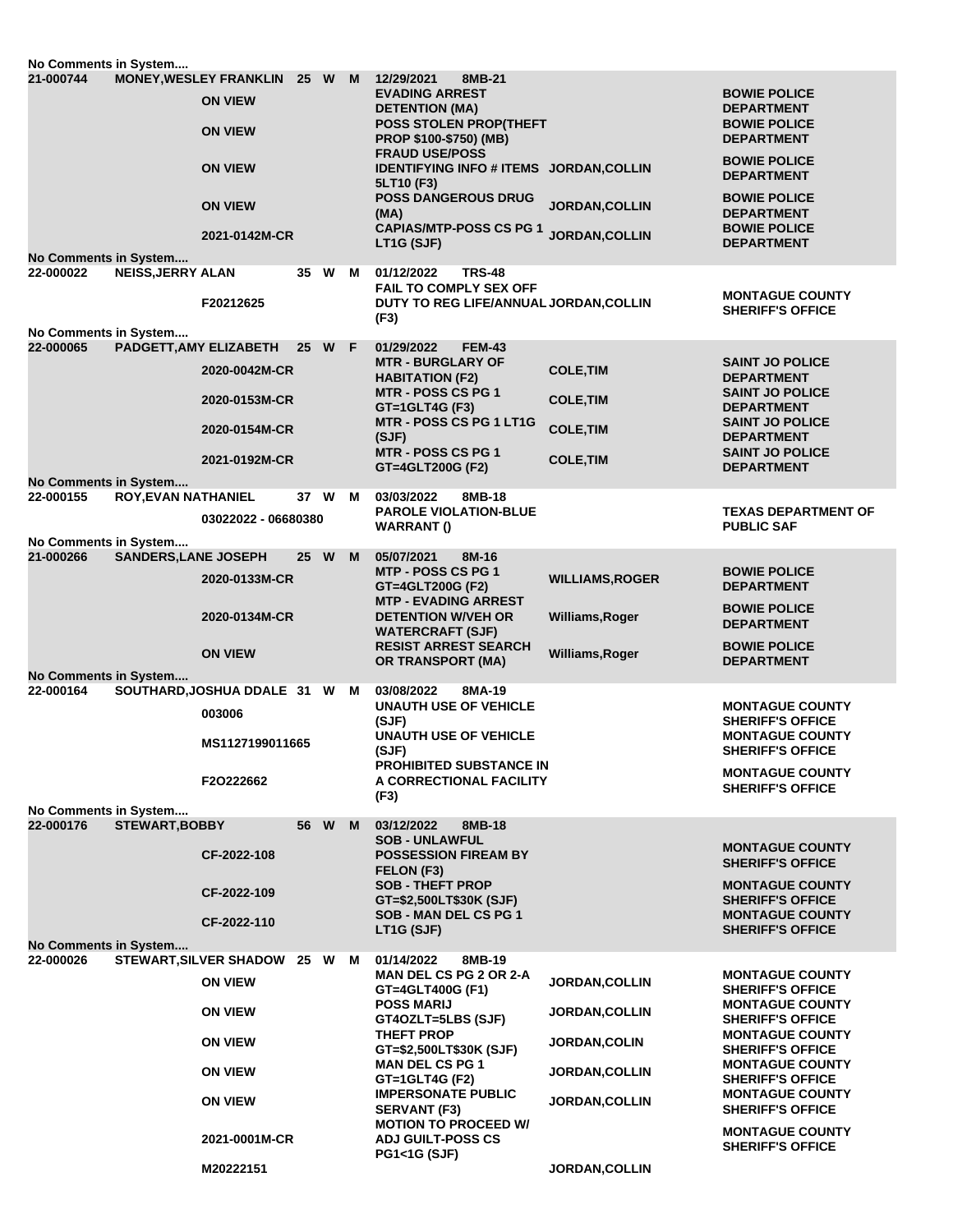|                                                                  | No Comments in System                     |                             |                                                 |      |                                       |                                                                                  |                                                                                                         |                                                   |                                                                 |
|------------------------------------------------------------------|-------------------------------------------|-----------------------------|-------------------------------------------------|------|---------------------------------------|----------------------------------------------------------------------------------|---------------------------------------------------------------------------------------------------------|---------------------------------------------------|-----------------------------------------------------------------|
|                                                                  | 21-000744                                 |                             | <b>MONEY, WESLEY FRANKLIN</b><br><b>ON VIEW</b> | 25 W |                                       | M                                                                                | 12/29/2021<br>8MB-21<br><b>EVADING ARREST</b><br><b>DETENTION (MA)</b><br><b>POSS STOLEN PROP(THEFT</b> |                                                   | <b>BOWIE POLICE</b><br><b>DEPARTMENT</b><br><b>BOWIE POLICE</b> |
|                                                                  |                                           |                             | <b>ON VIEW</b>                                  |      |                                       |                                                                                  | <b>PROP \$100-\$750) (MB)</b><br><b>FRAUD USE/POSS</b>                                                  |                                                   | <b>DEPARTMENT</b>                                               |
|                                                                  |                                           |                             | <b>ON VIEW</b>                                  |      |                                       |                                                                                  | IDENTIFYING INFO # ITEMS JORDAN, COLLIN<br>5LT10 (F3)                                                   |                                                   | <b>BOWIE POLICE</b><br><b>DEPARTMENT</b>                        |
|                                                                  |                                           |                             | <b>ON VIEW</b>                                  |      |                                       |                                                                                  | <b>POSS DANGEROUS DRUG</b><br>(MA)                                                                      | <b>JORDAN, COLLIN</b>                             | <b>BOWIE POLICE</b><br><b>DEPARTMENT</b>                        |
|                                                                  |                                           |                             | 2021-0142M-CR                                   |      |                                       |                                                                                  | <b>CAPIAS/MTP-POSS CS PG 1</b><br>LT1G (SJF)                                                            | <b>JORDAN, COLLIN</b>                             | <b>BOWIE POLICE</b><br><b>DEPARTMENT</b>                        |
|                                                                  | <b>No Comments in System</b><br>22-000022 | <b>NEISS, JERRY ALAN</b>    |                                                 |      | 35 W M                                |                                                                                  | <b>TRS-48</b><br>01/12/2022                                                                             |                                                   |                                                                 |
|                                                                  |                                           |                             | F20212625                                       |      |                                       |                                                                                  | <b>FAIL TO COMPLY SEX OFF</b><br>DUTY TO REG LIFE/ANNUAL JORDAN, COLLIN                                 |                                                   | <b>MONTAGUE COUNTY</b><br><b>SHERIFF'S OFFICE</b>               |
|                                                                  | No Comments in System                     |                             |                                                 |      |                                       |                                                                                  | (F3)                                                                                                    |                                                   |                                                                 |
|                                                                  | 22-000065                                 | PADGETT, AMY ELIZABETH      |                                                 |      | 25 W F                                |                                                                                  | 01/29/2022<br><b>FEM-43</b>                                                                             |                                                   |                                                                 |
|                                                                  |                                           |                             | 2020-0042M-CR                                   |      |                                       |                                                                                  | <b>MTR - BURGLARY OF</b><br><b>HABITATION (F2)</b>                                                      | <b>COLE, TIM</b>                                  | <b>SAINT JO POLICE</b><br><b>DEPARTMENT</b>                     |
|                                                                  |                                           |                             | 2020-0153M-CR                                   |      |                                       |                                                                                  | <b>MTR - POSS CS PG 1</b><br>GT=1GLT4G (F3)                                                             | <b>COLE, TIM</b>                                  | <b>SAINT JO POLICE</b><br><b>DEPARTMENT</b>                     |
|                                                                  |                                           |                             | 2020-0154M-CR                                   |      |                                       |                                                                                  | <b>MTR - POSS CS PG 1 LT1G</b><br>(SJF)                                                                 | <b>COLE, TIM</b>                                  | <b>SAINT JO POLICE</b><br><b>DEPARTMENT</b>                     |
|                                                                  |                                           |                             | 2021-0192M-CR                                   |      |                                       |                                                                                  | MTR - POSS CS PG 1<br>GT=4GLT200G (F2)                                                                  | <b>COLE, TIM</b>                                  | <b>SAINT JO POLICE</b><br><b>DEPARTMENT</b>                     |
|                                                                  | <b>No Comments in System</b><br>22-000155 | <b>ROY, EVAN NATHANIEL</b>  |                                                 | 37 W |                                       | м                                                                                | 03/03/2022<br>8MB-18                                                                                    |                                                   |                                                                 |
|                                                                  | No Comments in System                     |                             | 03022022 - 06680380                             |      |                                       |                                                                                  | <b>PAROLE VIOLATION-BLUE</b><br><b>WARRANT()</b>                                                        |                                                   | <b>TEXAS DEPARTMENT OF</b><br><b>PUBLIC SAF</b>                 |
|                                                                  | 21-000266                                 | <b>SANDERS, LANE JOSEPH</b> |                                                 | 25 W |                                       | M                                                                                | 05/07/2021<br>8M-16                                                                                     |                                                   |                                                                 |
|                                                                  |                                           |                             | 2020-0133M-CR                                   |      |                                       |                                                                                  | MTP - POSS CS PG 1<br>GT=4GLT200G (F2)                                                                  | <b>WILLIAMS, ROGER</b>                            | <b>BOWIE POLICE</b><br><b>DEPARTMENT</b>                        |
|                                                                  |                                           |                             | 2020-0134M-CR                                   |      |                                       |                                                                                  | <b>MTP - EVADING ARREST</b><br><b>DETENTION W/VEH OR</b><br><b>WATERCRAFT (SJF)</b>                     | Williams, Roger                                   | <b>BOWIE POLICE</b><br><b>DEPARTMENT</b>                        |
|                                                                  |                                           |                             | <b>ON VIEW</b>                                  |      |                                       |                                                                                  | <b>RESIST ARREST SEARCH</b><br><b>OR TRANSPORT (MA)</b>                                                 | Williams, Roger                                   | <b>BOWIE POLICE</b><br><b>DEPARTMENT</b>                        |
|                                                                  | No Comments in System                     |                             |                                                 |      |                                       |                                                                                  |                                                                                                         |                                                   |                                                                 |
|                                                                  | 22-000164                                 |                             | SOUTHARD, JOSHUA DDALE 31 W                     |      |                                       | M                                                                                | 03/08/2022<br>8MA-19<br><b>UNAUTH USE OF VEHICLE</b>                                                    |                                                   | <b>MONTAGUE COUNTY</b>                                          |
|                                                                  |                                           |                             | 003006                                          |      |                                       |                                                                                  | (SJF)                                                                                                   |                                                   | <b>SHERIFF'S OFFICE</b>                                         |
|                                                                  |                                           | MS1127199011665             |                                                 |      | <b>UNAUTH USE OF VEHICLE</b><br>(SJF) |                                                                                  | <b>MONTAGUE COUNTY</b><br><b>SHERIFF'S OFFICE</b>                                                       |                                                   |                                                                 |
|                                                                  |                                           |                             | F2O222662                                       |      |                                       |                                                                                  | <b>PROHIBITED SUBSTANCE IN</b><br>A CORRECTIONAL FACILITY                                               |                                                   | <b>MONTAGUE COUNTY</b><br><b>SHERIFF'S OFFICE</b>               |
|                                                                  | No Comments in System                     |                             |                                                 |      |                                       |                                                                                  | (F3)                                                                                                    |                                                   |                                                                 |
|                                                                  | 22-000176                                 | <b>STEWART, BOBBY</b>       |                                                 | 56 W |                                       | M                                                                                | 03/12/2022<br>8MB-18                                                                                    |                                                   |                                                                 |
|                                                                  |                                           |                             | CF-2022-108                                     |      |                                       |                                                                                  | <b>SOB - UNLAWFUL</b><br><b>POSSESSION FIREAM BY</b><br>FELON (F3)                                      |                                                   | <b>MONTAGUE COUNTY</b><br><b>SHERIFF'S OFFICE</b>               |
|                                                                  |                                           |                             | CF-2022-109                                     |      |                                       |                                                                                  | <b>SOB - THEFT PROP</b><br>GT=\$2,500LT\$30K (SJF)                                                      |                                                   | <b>MONTAGUE COUNTY</b><br><b>SHERIFF'S OFFICE</b>               |
|                                                                  |                                           |                             | CF-2022-110                                     |      |                                       |                                                                                  | SOB - MAN DEL CS PG 1<br>LT1G (SJF)                                                                     |                                                   | <b>MONTAGUE COUNTY</b><br><b>SHERIFF'S OFFICE</b>               |
| No Comments in System<br><b>STEWART, SILVER SHADOW</b><br>25 W M |                                           |                             |                                                 |      |                                       |                                                                                  |                                                                                                         |                                                   |                                                                 |
|                                                                  | 22-000026                                 |                             |                                                 |      |                                       |                                                                                  | 01/14/2022<br>8MB-19<br><b>MAN DEL CS PG 2 OR 2-A</b>                                                   |                                                   | <b>MONTAGUE COUNTY</b>                                          |
|                                                                  |                                           | <b>ON VIEW</b>              |                                                 |      |                                       | GT=4GLT400G (F1)<br><b>POSS MARIJ</b><br>GT4OZLT=5LBS (SJF)<br><b>THEFT PROP</b> | <b>JORDAN, COLLIN</b>                                                                                   | <b>SHERIFF'S OFFICE</b><br><b>MONTAGUE COUNTY</b> |                                                                 |
|                                                                  |                                           |                             | <b>ON VIEW</b>                                  |      |                                       |                                                                                  |                                                                                                         | <b>JORDAN,COLLIN</b>                              | <b>SHERIFF'S OFFICE</b><br><b>MONTAGUE COUNTY</b>               |
|                                                                  |                                           | <b>ON VIEW</b>              |                                                 |      |                                       | GT=\$2,500LT\$30K (SJF)<br><b>MAN DEL CS PG 1</b>                                | <b>JORDAN, COLIN</b>                                                                                    | <b>SHERIFF'S OFFICE</b><br><b>MONTAGUE COUNTY</b> |                                                                 |
|                                                                  |                                           |                             | <b>ON VIEW</b>                                  |      |                                       |                                                                                  | GT=1GLT4G (F2)                                                                                          | <b>JORDAN,COLLIN</b>                              | <b>SHERIFF'S OFFICE</b>                                         |
|                                                                  |                                           |                             | <b>ON VIEW</b>                                  |      |                                       |                                                                                  | <b>IMPERSONATE PUBLIC</b><br><b>SERVANT (F3)</b><br><b>MOTION TO PROCEED W/</b>                         | <b>JORDAN,COLLIN</b>                              | <b>MONTAGUE COUNTY</b><br><b>SHERIFF'S OFFICE</b>               |
|                                                                  |                                           |                             | 2021-0001M-CR                                   |      |                                       |                                                                                  | <b>ADJ GUILT-POSS CS</b><br><b>PG1&lt;1G (SJF)</b>                                                      |                                                   | <b>MONTAGUE COUNTY</b><br><b>SHERIFF'S OFFICE</b>               |
|                                                                  |                                           |                             | M20222151                                       |      |                                       |                                                                                  |                                                                                                         | <b>JORDAN, COLLIN</b>                             |                                                                 |